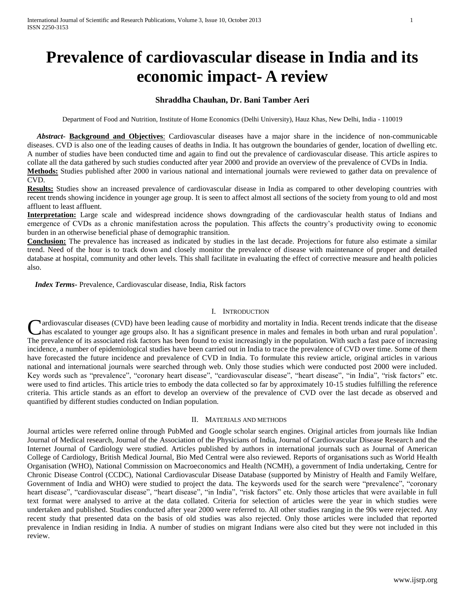# **Prevalence of cardiovascular disease in India and its economic impact- A review**

# **Shraddha Chauhan, Dr. Bani Tamber Aeri**

Department of Food and Nutrition, Institute of Home Economics (Delhi University), Hauz Khas, New Delhi, India - 110019

 *Abstract***- Background and Objectives**: Cardiovascular diseases have a major share in the incidence of non-communicable diseases. CVD is also one of the leading causes of deaths in India. It has outgrown the boundaries of gender, location of dwelling etc. A number of studies have been conducted time and again to find out the prevalence of cardiovascular disease. This article aspires to collate all the data gathered by such studies conducted after year 2000 and provide an overview of the prevalence of CVDs in India. **Methods:** Studies published after 2000 in various national and international journals were reviewed to gather data on prevalence of CVD.

**Results:** Studies show an increased prevalence of cardiovascular disease in India as compared to other developing countries with recent trends showing incidence in younger age group. It is seen to affect almost all sections of the society from young to old and most affluent to least affluent.

**Interpretation:** Large scale and widespread incidence shows downgrading of the cardiovascular health status of Indians and emergence of CVDs as a chronic manifestation across the population. This affects the country's productivity owing to economic burden in an otherwise beneficial phase of demographic transition.

**Conclusion:** The prevalence has increased as indicated by studies in the last decade. Projections for future also estimate a similar trend. Need of the hour is to track down and closely monitor the prevalence of disease with maintenance of proper and detailed database at hospital, community and other levels. This shall facilitate in evaluating the effect of corrective measure and health policies also.

 *Index Terms***-** Prevalence, Cardiovascular disease, India, Risk factors

#### I. INTRODUCTION

**A**rdiovascular diseases (CVD) have been leading cause of morbidity and mortality in India. Recent trends indicate that the disease Cardiovascular diseases (CVD) have been leading cause of morbidity and mortality in India. Recent trends indicate that the disease has escalated to younger age groups also. It has a significant presence in males and female The prevalence of its associated risk factors has been found to exist increasingly in the population. With such a fast pace of increasing incidence, a number of epidemiological studies have been carried out in India to trace the prevalence of CVD over time. Some of them have forecasted the future incidence and prevalence of CVD in India. To formulate this review article, original articles in various national and international journals were searched through web. Only those studies which were conducted post 2000 were included. Key words such as "prevalence", "coronary heart disease", "cardiovascular disease", "heart disease", "in India", "risk factors" etc. were used to find articles. This article tries to embody the data collected so far by approximately 10-15 studies fulfilling the reference criteria. This article stands as an effort to develop an overview of the prevalence of CVD over the last decade as observed and quantified by different studies conducted on Indian population.

## II. MATERIALS AND METHODS

Journal articles were referred online through PubMed and Google scholar search engines. Original articles from journals like Indian Journal of Medical research, Journal of the Association of the Physicians of India, Journal of Cardiovascular Disease Research and the Internet Journal of Cardiology were studied. Articles published by authors in international journals such as Journal of American College of Cardiology, British Medical Journal, Bio Med Central were also reviewed. Reports of organisations such as World Health Organisation (WHO), National Commission on Macroeconomics and Health (NCMH), a government of India undertaking, Centre for Chronic Disease Control (CCDC), National Cardiovascular Disease Database (supported by Ministry of Health and Family Welfare, Government of India and WHO) were studied to project the data. The keywords used for the search were "prevalence", "coronary heart disease", "cardiovascular disease", "heart disease", "in India", "risk factors" etc. Only those articles that were available in full text format were analysed to arrive at the data collated. Criteria for selection of articles were the year in which studies were undertaken and published. Studies conducted after year 2000 were referred to. All other studies ranging in the 90s were rejected. Any recent study that presented data on the basis of old studies was also rejected. Only those articles were included that reported prevalence in Indian residing in India. A number of studies on migrant Indians were also cited but they were not included in this review.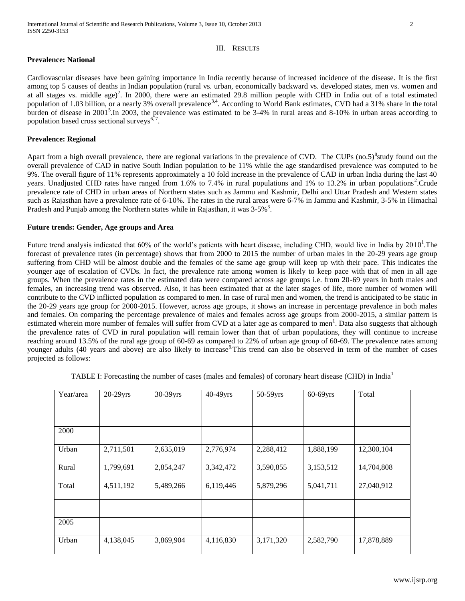## III. RESULTS

## **Prevalence: National**

Cardiovascular diseases have been gaining importance in India recently because of increased incidence of the disease. It is the first among top 5 causes of deaths in Indian population (rural vs. urban, economically backward vs. developed states, men vs. women and at all stages vs. middle age)<sup>2</sup>. In 2000, there were an estimated 29.8 million people with CHD in India out of a total estimated population of 1.03 billion, or a nearly 3% overall prevalence<sup>3,4</sup>. According to World Bank estimates, CVD had a 31% share in the total burden of disease in 2001<sup>5</sup>. In 2003, the prevalence was estimated to be 3-4% in rural areas and 8-10% in urban areas according to population based cross sectional surveys<sup>6,</sup> .

### **Prevalence: Regional**

Apart from a high overall prevalence, there are regional variations in the prevalence of CVD. The CUPs  $(no.5)^8$ study found out the overall prevalence of CAD in native South Indian population to be 11% while the age standardised prevalence was computed to be 9%. The overall figure of 11% represents approximately a 10 fold increase in the prevalence of CAD in urban India during the last 40 years. Unadjusted CHD rates have ranged from 1.6% to 7.4% in rural populations and 1% to 13.2% in urban populations<sup>2</sup>. Crude prevalence rate of CHD in urban areas of Northern states such as Jammu and Kashmir, Delhi and Uttar Pradesh and Western states such as Rajasthan have a prevalence rate of 6-10%. The rates in the rural areas were 6-7% in Jammu and Kashmir, 3-5% in Himachal Pradesh and Punjab among the Northern states while in Rajasthan, it was  $3-5\%$ <sup>3</sup>.

#### **Future trends: Gender, Age groups and Area**

Future trend analysis indicated that 60% of the world's patients with heart disease, including CHD, would live in India by  $2010<sup>1</sup>$ . The forecast of prevalence rates (in percentage) shows that from 2000 to 2015 the number of urban males in the 20-29 years age group suffering from CHD will be almost double and the females of the same age group will keep up with their pace. This indicates the younger age of escalation of CVDs. In fact, the prevalence rate among women is likely to keep pace with that of men in all age groups. When the prevalence rates in the estimated data were compared across age groups i.e. from 20-69 years in both males and females, an increasing trend was observed. Also, it has been estimated that at the later stages of life, more number of women will contribute to the CVD inflicted population as compared to men. In case of rural men and women, the trend is anticipated to be static in the 20-29 years age group for 2000-2015. However, across age groups, it shows an increase in percentage prevalence in both males and females. On comparing the percentage prevalence of males and females across age groups from 2000-2015, a similar pattern is estimated wherein more number of females will suffer from CVD at a later age as compared to men<sup>1</sup>. Data also suggests that although the prevalence rates of CVD in rural population will remain lower than that of urban populations, they will continue to increase reaching around 13.5% of the rural age group of 60-69 as compared to 22% of urban age group of 60-69. The prevalence rates among younger adults (40 years and above) are also likely to increase This trend can also be observed in term of the number of cases projected as follows:

| Year/area | $20-29$ yrs | 30-39yrs  | 40-49yrs  | 50-59yrs  | $60-69$ yrs | Total      |
|-----------|-------------|-----------|-----------|-----------|-------------|------------|
|           |             |           |           |           |             |            |
| 2000      |             |           |           |           |             |            |
| Urban     | 2,711,501   | 2,635,019 | 2,776,974 | 2,288,412 | 1,888,199   | 12,300,104 |
| Rural     | 1,799,691   | 2,854,247 | 3,342,472 | 3,590,855 | 3,153,512   | 14,704,808 |
| Total     | 4,511,192   | 5,489,266 | 6,119,446 | 5,879,296 | 5,041,711   | 27,040,912 |
|           |             |           |           |           |             |            |
| 2005      |             |           |           |           |             |            |
| Urban     | 4,138,045   | 3,869,904 | 4,116,830 | 3,171,320 | 2,582,790   | 17,878,889 |

TABLE I: Forecasting the number of cases (males and females) of coronary heart disease (CHD) in India<sup>1</sup>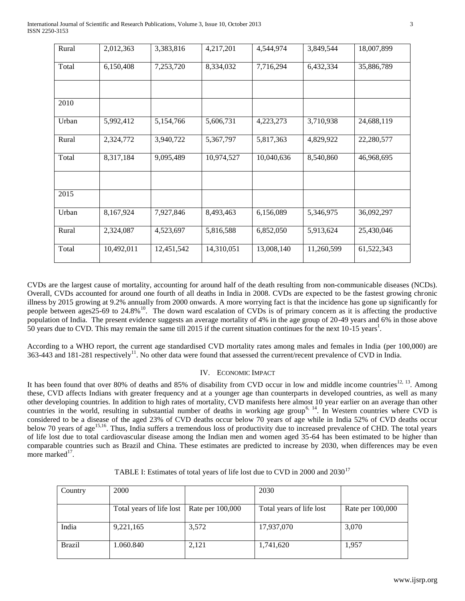| Rural | 2,012,363  | 3,383,816  | 4,217,201  | 4,544,974  | 3,849,544  | 18,007,899 |
|-------|------------|------------|------------|------------|------------|------------|
| Total | 6,150,408  | 7,253,720  | 8,334,032  | 7,716,294  | 6,432,334  | 35,886,789 |
|       |            |            |            |            |            |            |
| 2010  |            |            |            |            |            |            |
| Urban | 5,992,412  | 5,154,766  | 5,606,731  | 4,223,273  | 3,710,938  | 24,688,119 |
| Rural | 2,324,772  | 3,940,722  | 5,367,797  | 5,817,363  | 4,829,922  | 22,280,577 |
| Total | 8,317,184  | 9,095,489  | 10,974,527 | 10,040,636 | 8,540,860  | 46,968,695 |
|       |            |            |            |            |            |            |
| 2015  |            |            |            |            |            |            |
| Urban | 8,167,924  | 7,927,846  | 8,493,463  | 6,156,089  | 5,346,975  | 36,092,297 |
| Rural | 2,324,087  | 4,523,697  | 5,816,588  | 6,852,050  | 5,913,624  | 25,430,046 |
| Total | 10,492,011 | 12,451,542 | 14,310,051 | 13,008,140 | 11,260,599 | 61,522,343 |

CVDs are the largest cause of mortality, accounting for around half of the death resulting from non-communicable diseases (NCDs). Overall, CVDs accounted for around one fourth of all deaths in India in 2008. CVDs are expected to be the fastest growing chronic illness by 2015 growing at 9.2% annually from 2000 onwards. A more worrying fact is that the incidence has gone up significantly for people between ages25-69 to  $24.8\%$ <sup>10</sup>. The down ward escalation of CVDs is of primary concern as it is affecting the productive population of India. The present evidence suggests an average mortality of 4% in the age group of 20-49 years and 6% in those above 50 years due to CVD. This may remain the same till 2015 if the current situation continues for the next 10-15 years<sup>1</sup>.

According to a WHO report, the current age standardised CVD mortality rates among males and females in India (per 100,000) are 363-443 and 181-281 respectively<sup>11</sup>. No other data were found that assessed the current/recent prevalence of CVD in India.

# IV. ECONOMIC IMPACT

It has been found that over 80% of deaths and 85% of disability from CVD occur in low and middle income countries<sup>12, 13</sup>. Among these, CVD affects Indians with greater frequency and at a younger age than counterparts in developed countries, as well as many other developing countries. In addition to high rates of mortality, CVD manifests here almost 10 year earlier on an average than other countries in the world, resulting in substantial number of deaths in working age group<sup>6, 14</sup>. In Western countries where CVD is considered to be a disease of the aged 23% of CVD deaths occur below 70 years of age while in India 52% of CVD deaths occur below 70 years of age<sup>15,16</sup>. Thus, India suffers a tremendous loss of productivity due to increased prevalence of CHD. The total years of life lost due to total cardiovascular disease among the Indian men and women aged 35-64 has been estimated to be higher than comparable countries such as Brazil and China. These estimates are predicted to increase by 2030, when differences may be even more marked $17$ .

| Country       | 2000                     |                  | 2030                     |                  |
|---------------|--------------------------|------------------|--------------------------|------------------|
|               |                          |                  |                          |                  |
|               |                          |                  |                          |                  |
|               | Total years of life lost | Rate per 100,000 | Total years of life lost | Rate per 100,000 |
|               |                          |                  |                          |                  |
|               |                          |                  |                          |                  |
| India         | 9,221,165                | 3,572            | 17,937,070               | 3,070            |
|               |                          |                  |                          |                  |
|               |                          |                  |                          |                  |
| <b>Brazil</b> | 1.060.840                | 2,121            | 1,741,620                | 1,957            |
|               |                          |                  |                          |                  |
|               |                          |                  |                          |                  |

TABLE I: Estimates of total years of life lost due to CVD in 2000 and 2030<sup>17</sup>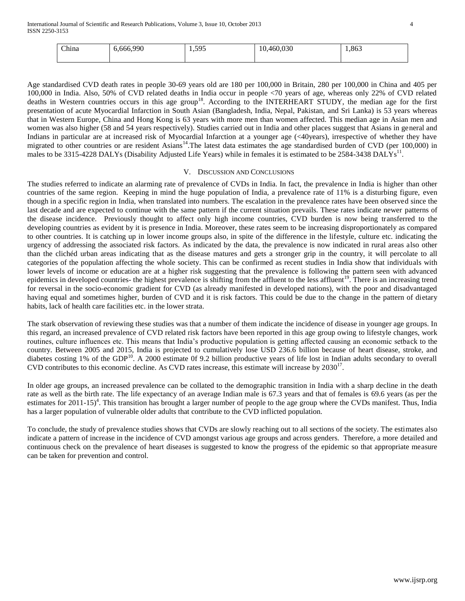| China | 6,666,990 | 1,595 | ,460,030<br>$\cdot$ v. | 1,863 |
|-------|-----------|-------|------------------------|-------|
|       |           |       |                        |       |

Age standardised CVD death rates in people 30-69 years old are 180 per 100,000 in Britain, 280 per 100,000 in China and 405 per 100,000 in India. Also, 50% of CVD related deaths in India occur in people <70 years of age, whereas only 22% of CVD related deaths in Western countries occurs in this age group<sup>18</sup>. According to the INTERHEART STUDY, the median age for the first presentation of acute Myocardial Infarction in South Asian (Bangladesh, India, Nepal, Pakistan, and Sri Lanka) is 53 years whereas that in Western Europe, China and Hong Kong is 63 years with more men than women affected. This median age in Asian men and women was also higher (58 and 54 years respectively). Studies carried out in India and other places suggest that Asians in general and Indians in particular are at increased risk of Myocardial Infarction at a younger age (<40years), irrespective of whether they have migrated to other countries or are resident Asians<sup>14</sup>. The latest data estimates the age standardised burden of CVD (per 100,000) in males to be 3315-4228 DALYs (Disability Adjusted Life Years) while in females it is estimated to be 2584-3438 DALYs<sup>11</sup>.

#### V. DISCUSSION AND CONCLUSIONS

The studies referred to indicate an alarming rate of prevalence of CVDs in India. In fact, the prevalence in India is higher than other countries of the same region. Keeping in mind the huge population of India, a prevalence rate of 11% is a disturbing figure, even though in a specific region in India, when translated into numbers. The escalation in the prevalence rates have been observed since the last decade and are expected to continue with the same pattern if the current situation prevails. These rates indicate newer patterns of the disease incidence. Previously thought to affect only high income countries, CVD burden is now being transferred to the developing countries as evident by it is presence in India. Moreover, these rates seem to be increasing disproportionately as compared to other countries. It is catching up in lower income groups also, in spite of the difference in the lifestyle, culture etc. indicating the urgency of addressing the associated risk factors. As indicated by the data, the prevalence is now indicated in rural areas also other than the clichéd urban areas indicating that as the disease matures and gets a stronger grip in the country, it will percolate to all categories of the population affecting the whole society. This can be confirmed as recent studies in India show that individuals with lower levels of income or education are at a higher risk suggesting that the prevalence is following the pattern seen with advanced epidemics in developed countries- the highest prevalence is shifting from the affluent to the less affluent<sup>19</sup>. There is an increasing trend for reversal in the socio-economic gradient for CVD (as already manifested in developed nations), with the poor and disadvantaged having equal and sometimes higher, burden of CVD and it is risk factors. This could be due to the change in the pattern of dietary habits, lack of health care facilities etc. in the lower strata.

The stark observation of reviewing these studies was that a number of them indicate the incidence of disease in younger age groups. In this regard, an increased prevalence of CVD related risk factors have been reported in this age group owing to lifestyle changes, work routines, culture influences etc. This means that India's productive population is getting affected causing an economic setback to the country. Between 2005 and 2015, India is projected to cumulatively lose USD 236.6 billion because of heart disease, stroke, and diabetes costing 1% of the GDP<sup>10</sup>. A 2000 estimate 0f 9.2 billion productive years of life lost in Indian adults secondary to overall CVD contributes to this economic decline. As CVD rates increase, this estimate will increase by  $2030^{17}$ .

In older age groups, an increased prevalence can be collated to the demographic transition in India with a sharp decline in the death rate as well as the birth rate. The life expectancy of an average Indian male is 67.3 years and that of females is 69.6 years (as per the estimates for 2011-15)<sup>4</sup>. This transition has brought a larger number of people to the age group where the CVDs manifest. Thus, India has a larger population of vulnerable older adults that contribute to the CVD inflicted population.

To conclude, the study of prevalence studies shows that CVDs are slowly reaching out to all sections of the society. The estimates also indicate a pattern of increase in the incidence of CVD amongst various age groups and across genders. Therefore, a more detailed and continuous check on the prevalence of heart diseases is suggested to know the progress of the epidemic so that appropriate measure can be taken for prevention and control.